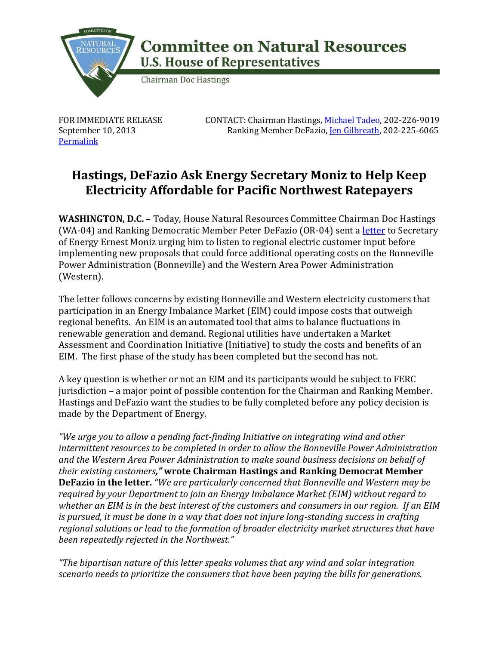

## **Committee on Natural Resources U.S. House of Representatives**

**Chairman Doc Hastings** 

FOR IMMEDIATE RELEASE September 10, 2013 **[Permalink](http://naturalresources.house.gov/news/documentsingle.aspx?DocumentID=348880)** 

 CONTACT: Chairman Hastings, [Michael Tadeo,](mailto:michael.tadeo@mail.house.gov) 202-226-9019 Ranking Member DeFazio[, Jen Gilbreath,](mailto:Jen.Gilbreath@mail.house.gov) 202-225-6065

## **Hastings, DeFazio Ask Energy Secretary Moniz to Help Keep Electricity Affordable for Pacific Northwest Ratepayers**

**WASHINGTON, D.C.** – Today, House Natural Resources Committee Chairman Doc Hastings (WA-04) and Ranking Democratic Member Peter DeFazio (OR-04) sent a [letter](http://naturalresources.house.gov/UploadedFiles/09_10_13_Hastings_DeFazio_Ltr_to_Sec_Moniz.pdf) to Secretary of Energy Ernest Moniz urging him to listen to regional electric customer input before implementing new proposals that could force additional operating costs on the Bonneville Power Administration (Bonneville) and the Western Area Power Administration (Western).

The letter follows concerns by existing Bonneville and Western electricity customers that participation in an Energy Imbalance Market (EIM) could impose costs that outweigh regional benefits. An EIM is an automated tool that aims to balance fluctuations in renewable generation and demand. Regional utilities have undertaken a Market Assessment and Coordination Initiative (Initiative) to study the costs and benefits of an EIM. The first phase of the study has been completed but the second has not.

A key question is whether or not an EIM and its participants would be subject to FERC jurisdiction – a major point of possible contention for the Chairman and Ranking Member. Hastings and DeFazio want the studies to be fully completed before any policy decision is made by the Department of Energy.

*"We urge you to allow a pending fact-finding Initiative on integrating wind and other intermittent resources to be completed in order to allow the Bonneville Power Administration and the Western Area Power Administration to make sound business decisions on behalf of their existing customers,"* **wrote Chairman Hastings and Ranking Democrat Member DeFazio in the letter.** *"We are particularly concerned that Bonneville and Western may be required by your Department to join an Energy Imbalance Market (EIM) without regard to whether an EIM is in the best interest of the customers and consumers in our region. If an EIM is pursued, it must be done in a way that does not injure long-standing success in crafting regional solutions or lead to the formation of broader electricity market structures that have been repeatedly rejected in the Northwest."*

*"The bipartisan nature of this letter speaks volumes that any wind and solar integration scenario needs to prioritize the consumers that have been paying the bills for generations.*